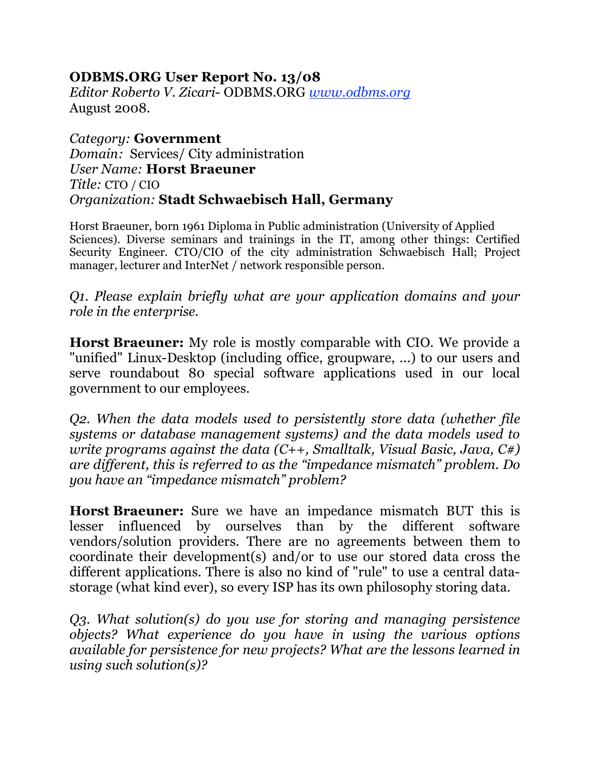## **ODBMS.ORG User Report No. 13/08**

*Editor Roberto V. Zicari-* ODBMS.ORG *www.odbms.org* August 2008.

*Category:* **Government** *Domain:* Services/ City administration *User Name:* **Horst Braeuner** *Title:* CTO / CIO *Organization:* **Stadt Schwaebisch Hall, Germany**

Horst Braeuner, born 1961 Diploma in Public administration (University of Applied Sciences). Diverse seminars and trainings in the IT, among other things: Certified Security Engineer. CTO/CIO of the city administration Schwaebisch Hall; Project manager, lecturer and InterNet / network responsible person.

*Q1. Please explain briefly what are your application domains and your role in the enterprise.*

**Horst Braeuner:** My role is mostly comparable with CIO. We provide a "unified" Linux-Desktop (including office, groupware, ...) to our users and serve roundabout 80 special software applications used in our local government to our employees.

*Q2. When the data models used to persistently store data (whether file systems or database management systems) and the data models used to write programs against the data (C++, Smalltalk, Visual Basic, Java, C#) are different, this is referred to as the "impedance mismatch" problem. Do you have an "impedance mismatch" problem?*

**Horst Braeuner:** Sure we have an impedance mismatch BUT this is lesser influenced by ourselves than by the different software vendors/solution providers. There are no agreements between them to coordinate their development(s) and/or to use our stored data cross the different applications. There is also no kind of "rule" to use a central datastorage (what kind ever), so every ISP has its own philosophy storing data.

*Q3. What solution(s) do you use for storing and managing persistence objects? What experience do you have in using the various options available for persistence for new projects? What are the lessons learned in using such solution(s)?*